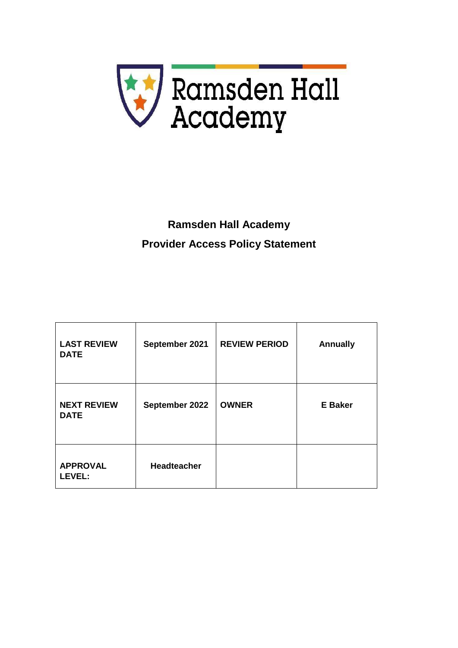

# **Ramsden Hall Academy Provider Access Policy Statement**

| <b>LAST REVIEW</b><br><b>DATE</b> | September 2021     | <b>REVIEW PERIOD</b> | <b>Annually</b> |
|-----------------------------------|--------------------|----------------------|-----------------|
| <b>NEXT REVIEW</b><br><b>DATE</b> | September 2022     | <b>OWNER</b>         | <b>E</b> Baker  |
| <b>APPROVAL</b><br><b>LEVEL:</b>  | <b>Headteacher</b> |                      |                 |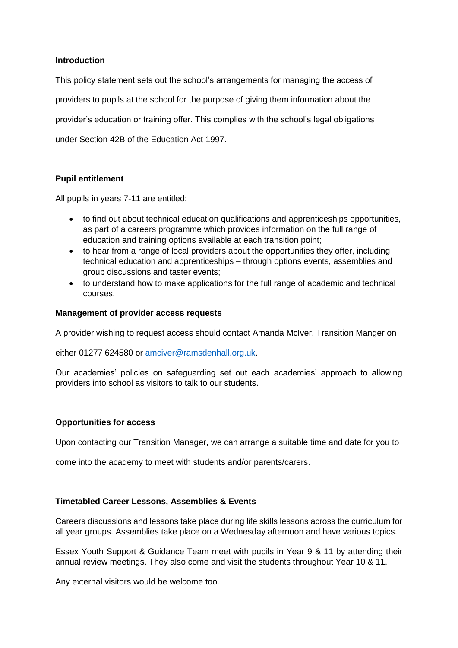### **Introduction**

This policy statement sets out the school's arrangements for managing the access of providers to pupils at the school for the purpose of giving them information about the provider's education or training offer. This complies with the school's legal obligations under Section 42B of the Education Act 1997.

## **Pupil entitlement**

All pupils in years 7-11 are entitled:

- to find out about technical education qualifications and apprenticeships opportunities, as part of a careers programme which provides information on the full range of education and training options available at each transition point;
- to hear from a range of local providers about the opportunities they offer, including technical education and apprenticeships – through options events, assemblies and group discussions and taster events;
- to understand how to make applications for the full range of academic and technical courses.

#### **Management of provider access requests**

A provider wishing to request access should contact Amanda McIver, Transition Manger on

either 01277 624580 or [amciver@ramsdenhall.org.uk.](mailto:amciver@ramsdenhall.org.uk)

Our academies' policies on safeguarding set out each academies' approach to allowing providers into school as visitors to talk to our students.

#### **Opportunities for access**

Upon contacting our Transition Manager, we can arrange a suitable time and date for you to

come into the academy to meet with students and/or parents/carers.

#### **Timetabled Career Lessons, Assemblies & Events**

Careers discussions and lessons take place during life skills lessons across the curriculum for all year groups. Assemblies take place on a Wednesday afternoon and have various topics.

Essex Youth Support & Guidance Team meet with pupils in Year 9 & 11 by attending their annual review meetings. They also come and visit the students throughout Year 10 & 11.

Any external visitors would be welcome too.